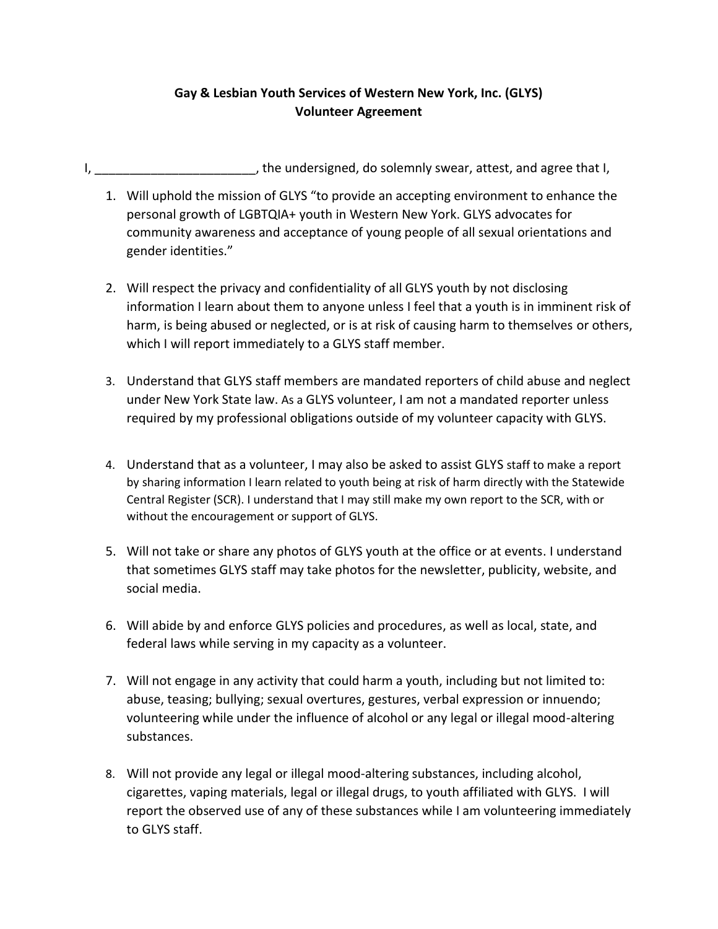## **Gay & Lesbian Youth Services of Western New York, Inc. (GLYS) Volunteer Agreement**

- I, \_\_\_\_\_\_\_\_\_\_\_\_\_\_\_\_\_\_\_\_\_\_\_\_\_, the undersigned, do solemnly swear, attest, and agree that I,
	- 1. Will uphold the mission of GLYS "to provide an accepting environment to enhance the personal growth of LGBTQIA+ youth in Western New York. GLYS advocates for community awareness and acceptance of young people of all sexual orientations and gender identities."
	- 2. Will respect the privacy and confidentiality of all GLYS youth by not disclosing information I learn about them to anyone unless I feel that a youth is in imminent risk of harm, is being abused or neglected, or is at risk of causing harm to themselves or others, which I will report immediately to a GLYS staff member.
	- 3. Understand that GLYS staff members are mandated reporters of child abuse and neglect under New York State law. As a GLYS volunteer, I am not a mandated reporter unless required by my professional obligations outside of my volunteer capacity with GLYS.
	- 4. Understand that as a volunteer, I may also be asked to assist GLYS staff to make a report by sharing information I learn related to youth being at risk of harm directly with the Statewide Central Register (SCR). I understand that I may still make my own report to the SCR, with or without the encouragement or support of GLYS.
	- 5. Will not take or share any photos of GLYS youth at the office or at events. I understand that sometimes GLYS staff may take photos for the newsletter, publicity, website, and social media.
	- 6. Will abide by and enforce GLYS policies and procedures, as well as local, state, and federal laws while serving in my capacity as a volunteer.
	- 7. Will not engage in any activity that could harm a youth, including but not limited to: abuse, teasing; bullying; sexual overtures, gestures, verbal expression or innuendo; volunteering while under the influence of alcohol or any legal or illegal mood-altering substances.
	- 8. Will not provide any legal or illegal mood-altering substances, including alcohol, cigarettes, vaping materials, legal or illegal drugs, to youth affiliated with GLYS. I will report the observed use of any of these substances while I am volunteering immediately to GLYS staff.